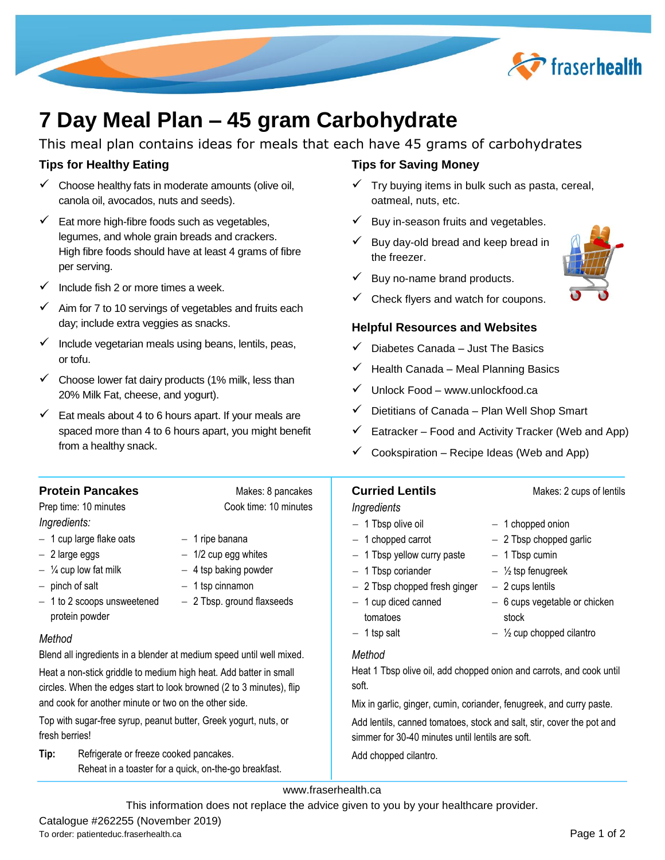

# **7 Day Meal Plan – 45 gram Carbohydrate**

This meal plan contains ideas for meals that each have 45 grams of carbohydrates

## **Tips for Healthy Eating**

*Ingredients:*

 $-1$  to 2 scoops unsweetened

protein powder

*Method*

fresh berries!

- $\checkmark$  Choose healthy fats in moderate amounts (olive oil, canola oil, avocados, nuts and seeds).
- Eat more high-fibre foods such as vegetables, legumes, and whole grain breads and crackers. High fibre foods should have at least 4 grams of fibre per serving.
- $\checkmark$  Include fish 2 or more times a week.
- $\checkmark$  Aim for 7 to 10 servings of vegetables and fruits each day; include extra veggies as snacks.
- $\checkmark$  Include vegetarian meals using beans, lentils, peas, or tofu.
- $\checkmark$  Choose lower fat dairy products (1% milk, less than 20% Milk Fat, cheese, and yogurt).
- $\checkmark$  Eat meals about 4 to 6 hours apart. If your meals are spaced more than 4 to 6 hours apart, you might benefit from a healthy snack.

**Protein Pancakes** Makes: 8 pancakes Prep time: 10 minutes Cook time: 10 minutes

Blend all ingredients in a blender at medium speed until well mixed. Heat a non-stick griddle to medium high heat. Add batter in small circles. When the edges start to look browned (2 to 3 minutes), flip

Top with sugar-free syrup, peanut butter, Greek yogurt, nuts, or

Reheat in a toaster for a quick, on-the-go breakfast.

- 2 Tbsp. ground flaxseeds

 $-1$  cup large flake oats  $-1$  ripe banana  $-2$  large eggs  $-1/2$  cup egg whites  $\frac{1}{4}$  cup low fat milk  $-$  4 tsp baking powder  $-$  pinch of salt  $-$  1 tsp cinnamon

and cook for another minute or two on the other side.

**Tip:** Refrigerate or freeze cooked pancakes.

### **Tips for Saving Money**

- Try buying items in bulk such as pasta, cereal, oatmeal, nuts, etc.
- Buy in-season fruits and vegetables.
- Buy day-old bread and keep bread in the freezer.



- Buy no-name brand products.
- Check flyers and watch for coupons.

#### **Helpful Resources and Websites**

- Diabetes Canada Just The Basics
- Health Canada Meal Planning Basics
- Unlock Food [www.unlockfood.ca](http://www.unlockfood.ca/)
- Dietitians of Canada Plan Well Shop Smart
- Eatracker Food and Activity Tracker (Web and App)
- Cookspiration Recipe Ideas (Web and App)

## **Curried Lentils** Makes: 2 cups of lentils

#### *Ingredients*

- $-1$  Tbsp olive oil  $-1$  chopped onion
- $-1$  chopped carrot  $-2$  Tbsp chopped garlic
- $-1$  Tbsp yellow curry paste  $-1$  Tbsp cumin
- $-1$  Tbsp coriander  $\frac{1}{2}$  tsp fenugreek
- $-2$  Tbsp chopped fresh ginger  $-2$  cups lentils  $-1$  cup diced canned
- tomatoes
- 
- 
- 
- 
- 6 cups vegetable or chicken stock
- $-1$  tsp salt  $-1/2$  cup chopped cilantro

#### *Method*

Heat 1 Tbsp olive oil, add chopped onion and carrots, and cook until soft.

Mix in garlic, ginger, cumin, coriander, fenugreek, and curry paste.

Add lentils, canned tomatoes, stock and salt, stir, cover the pot and simmer for 30-40 minutes until lentils are soft.

Add chopped cilantro.

www.fraserhealth.ca

This information does not replace the advice given to you by your healthcare provider.